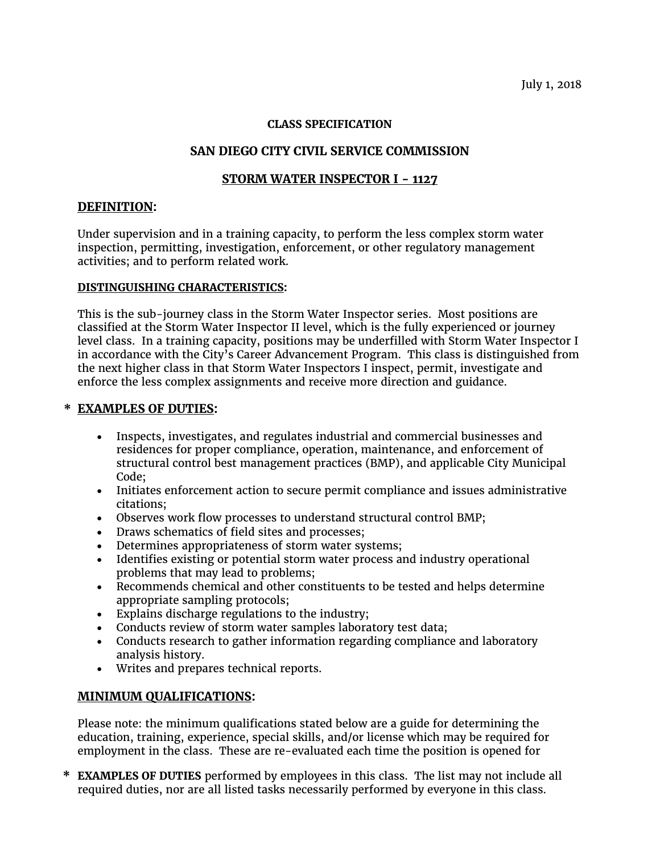July 1, 2018

#### **CLASS SPECIFICATION**

# **SAN DIEGO CITY CIVIL SERVICE COMMISSION**

## **STORM WATER INSPECTOR I - 1127**

#### **DEFINITION:**

Under supervision and in a training capacity, to perform the less complex storm water inspection, permitting, investigation, enforcement, or other regulatory management activities; and to perform related work.

#### **DISTINGUISHING CHARACTERISTICS:**

This is the sub-journey class in the Storm Water Inspector series. Most positions are classified at the Storm Water Inspector II level, which is the fully experienced or journey level class. In a training capacity, positions may be underfilled with Storm Water Inspector I in accordance with the City's Career Advancement Program. This class is distinguished from the next higher class in that Storm Water Inspectors I inspect, permit, investigate and enforce the less complex assignments and receive more direction and guidance.

### **\* EXAMPLES OF DUTIES:**

- Inspects, investigates, and regulates industrial and commercial businesses and residences for proper compliance, operation, maintenance, and enforcement of structural control best management practices (BMP), and applicable City Municipal Code;
- Initiates enforcement action to secure permit compliance and issues administrative citations;
- Observes work flow processes to understand structural control BMP;
- Draws schematics of field sites and processes;
- Determines appropriateness of storm water systems;
- Identifies existing or potential storm water process and industry operational problems that may lead to problems;
- Recommends chemical and other constituents to be tested and helps determine appropriate sampling protocols;
- Explains discharge regulations to the industry;
- Conducts review of storm water samples laboratory test data;
- Conducts research to gather information regarding compliance and laboratory analysis history.
- Writes and prepares technical reports.

## **MINIMUM QUALIFICATIONS:**

Please note: the minimum qualifications stated below are a guide for determining the education, training, experience, special skills, and/or license which may be required for employment in the class. These are re-evaluated each time the position is opened for

**\* EXAMPLES OF DUTIES** performed by employees in this class. The list may not include all required duties, nor are all listed tasks necessarily performed by everyone in this class.